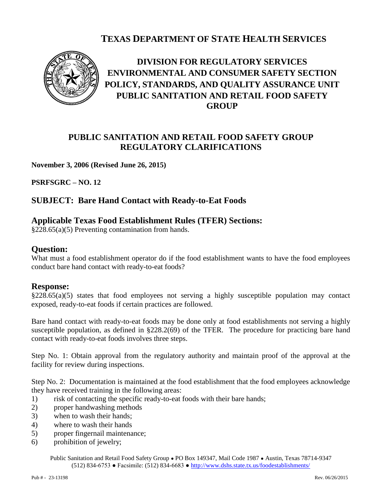## **TEXAS DEPARTMENT OF STATE HEALTH SERVICES**



# **DIVISION FOR REGULATORY SERVICES ENVIRONMENTAL AND CONSUMER SAFETY SECTION POLICY, STANDARDS, AND QUALITY ASSURANCE UNIT PUBLIC SANITATION AND RETAIL FOOD SAFETY GROUP**

## **PUBLIC SANITATION AND RETAIL FOOD SAFETY GROUP REGULATORY CLARIFICATIONS**

#### **November 3, 2006 (Revised June 26, 2015)**

**PSRFSGRC – NO. 12** 

## **SUBJECT: Bare Hand Contact with Ready-to-Eat Foods**

### **Applicable Texas Food Establishment Rules (TFER) Sections:**

§228.65(a)(5) Preventing contamination from hands.

#### **Question:**

What must a food establishment operator do if the food establishment wants to have the food employees conduct bare hand contact with ready-to-eat foods?

#### **Response:**

 $\S 228.65(a)(5)$  states that food employees not serving a highly susceptible population may contact exposed, ready-to-eat foods if certain practices are followed.

Bare hand contact with ready-to-eat foods may be done only at food establishments not serving a highly susceptible population, as defined in §228.2(69) of the TFER. The procedure for practicing bare hand contact with ready-to-eat foods involves three steps.

Step No. 1: Obtain approval from the regulatory authority and maintain proof of the approval at the facility for review during inspections.

Step No. 2: Documentation is maintained at the food establishment that the food employees acknowledge they have received training in the following areas:

- 1) risk of contacting the specific ready-to-eat foods with their bare hands;
- 2) proper handwashing methods
- 3) when to wash their hands;
- 4) where to wash their hands
- 5) proper fingernail maintenance;
- 6) prohibition of jewelry;

Public Sanitation and Retail Food Safety Group ● PO Box 149347, Mail Code 1987 ● Austin, Texas 78714-9347 (512) 834-6753 ● Facsimile: (512) 834-6683 ●<http://www.dshs.state.tx.us/foodestablishments/>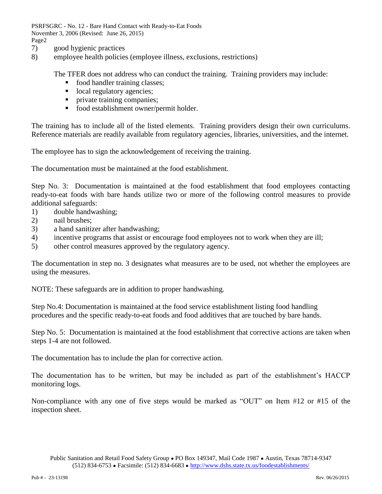PSRFSGRC - No. 12 - Bare Hand Contact with Ready-to-Eat Foods November 3, 2006 (Revised: June 26, 2015) Page2

- 7) good hygienic practices
- 8) employee health policies (employee illness, exclusions, restrictions)

The TFER does not address who can conduct the training. Training providers may include:

- **food handler training classes;**
- local regulatory agencies;
- **Produce** training companies;
- food establishment owner/permit holder.

The training has to include all of the listed elements. Training providers design their own curriculums. Reference materials are readily available from regulatory agencies, libraries, universities, and the internet.

The employee has to sign the acknowledgement of receiving the training.

The documentation must be maintained at the food establishment.

Step No. 3: Documentation is maintained at the food establishment that food employees contacting ready-to-eat foods with bare hands utilize two or more of the following control measures to provide additional safeguards:

- 1) double handwashing;
- 2) nail brushes;
- 3) a hand sanitizer after handwashing;
- 4) incentive programs that assist or encourage food employees not to work when they are ill;
- 5) other control measures approved by the regulatory agency.

The documentation in step no. 3 designates what measures are to be used, not whether the employees are using the measures.

NOTE: These safeguards are in addition to proper handwashing.

Step No.4: Documentation is maintained at the food service establishment listing food handling procedures and the specific ready-to-eat foods and food additives that are touched by bare hands.

Step No. 5: Documentation is maintained at the food establishment that corrective actions are taken when steps 1-4 are not followed.

The documentation has to include the plan for corrective action.

The documentation has to be written, but may be included as part of the establishment's HACCP monitoring logs.

Non-compliance with any one of five steps would be marked as "OUT" on Item #12 or #15 of the inspection sheet.